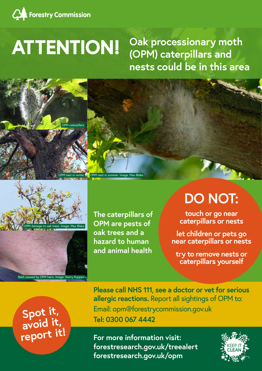

## **ATTENTION! Oak processionary moth (OPM) caterpillars and nests could be in this area**

**For more information visit: forestresearch.gov.uk/treealert forestresearch.gov.uk/opm**



**Please call NHS 111, see a doctor or vet for serious allergic reactions.** Report all sightings of OPM to: Email: opm@forestrycommission.gov.uk **Tel: 0300 067 4442**<br>**Tel: 0300 067 4442** 





**avoid it, report it!** 

**The caterpillars of OPM are pests of oak trees and a hazard to human and animal health** 

## **DO NOT:**

**touch or go near caterpillars or nests**

**let children or pets go near caterpillars or nests**

**try to remove nests or caterpillars yourself**